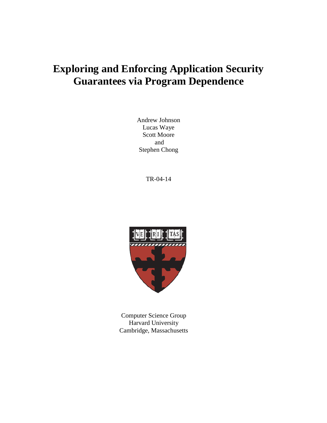# **Exploring and Enforcing Application Security Guarantees via Program Dependence**

Andrew Johnson Lucas Waye Scott Moore and Stephen Chong

TR-04-14



Computer Science Group Harvard University Cambridge, Massachusetts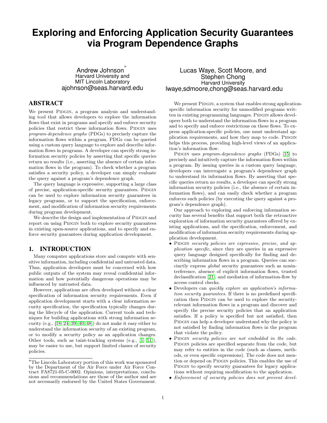# **Exploring and Enforcing Application Security Guarantees via Program Dependence Graphs**

Andrew Johnson ∗ Harvard University and MIT Lincoln Laboratory ajohnson@seas.harvard.edu

# ABSTRACT

We present PIDGIN, a program analysis and understanding tool that allows developers to explore the information flows that exist in programs and specify and enforce security policies that restrict these information flows. PIDGIN uses program-dependence graphs (PDGs) to precisely capture the information flows within a program. PDGs can be queried using a custom query language to explore and describe information flows in programs. A developer can specify strong information security policies by asserting that specific queries return no results (i.e., asserting the absence of certain information flows in the program). To check whether a program satisfies a security policy, a developer can simply evaluate the query against a program's dependence graph.

The query language is expressive, supporting a large class of precise, application-specific security guarantees. PIDGIN can be used to explore information security guarantees in legacy programs, or to support the specification, enforcement, and modification of information security requirements during program development.

We describe the design and implementation of PIDGIN and report on using PIDGIN both to explore security guarantees in existing open-source applications, and to specify and enforce security guarantees during application development.

#### 1. INTRODUCTION

Many computer applications store and compute with sensitive information, including confidential and untrusted data. Thus, application developers must be concerned with how public outputs of the system may reveal confidential information and how potentially dangerous operations may be influenced by untrusted data.

However, applications are often developed without a clear specification of information security requirements. Even if application development starts with a clear information security specification, the specification typically changes during the lifecycle of the application. Current tools and techniques for building applications with strong information security (e.g., [\[18,](#page-11-0) [24,](#page-12-0) [39,](#page-12-1) [40,](#page-12-2) [48\]](#page-12-3)) do not make it easy either to understand the information security of an existing program, or to modify a security policy as an application changes. Other tools, such as taint-tracking systems (e.g., [\[1,](#page-11-1) [51\]](#page-13-0)), may be easier to use, but support limited classes of security policies.

# Lucas Waye, Scott Moore, and Stephen Chong Harvard University lwaye,sdmoore,chong@seas.harvard.edu

We present PIDGIN, a system that enables strong applicationspecific information security for unmodified programs written in existing programming languages. PIDGIN allows developers both to understand the information flows in a program and to specify and enforce restrictions on these flows. To express application-specific policies, one must understand application requirements, and how they map to code. PIDGIN helps this process, providing high-level views of an application's information flow.

PIDGIN uses program-dependence graphs (PDGs) [\[15\]](#page-11-2) to precisely and intuitively capture the information flows within a program. By issuing queries in a custom query language, developers can interrogate a program's dependence graph to understand its information flows. By asserting that specific queries return no results, a developer can specify strong information security policies (i.e., the absence of certain information flows), and can easily check whether a program enforces such policies (by executing the query against a program's dependence graph).

Our approach to exploring and enforcing information security has several benefits that support both the retroactive exploration of information security guarantees offered by existing applications, and the specification, enforcement, and modification of information security requirements during application development.

- PIDGIN security policies are expressive, precise, and application specific, since they are queries in an expressive query language designed specifically for finding and describing information flows in a program. Queries can succinctly express global security guarantees such as noninterference, absence of explicit information flows, trusted declassification [\[21\]](#page-12-4), and mediation of information-flow by access control checks.
- Developers can quickly explore an application's information security guarantees. If there is no predefined specification then PIDGIN can be used to explore the securityrelevant information flows in a program and discover and specify the precise security policies that an application satisfies. If a policy is specified but not satisfied, then PIDGIN can help a developer understand why the policy is not satisfied by finding information flows in the program that violate the policy.
- PIDGIN security policies are not embedded in the code. PIDGIN policies are specified separate from the code, but may refer to entities in the code (such as classes, methods, or even specific expressions). The code does not mention or depend on PIDGIN policies. This enables the use of PIDGIN to specify security guarantees for legacy applications without requiring modification to the application.
- Enforcement of security policies does not prevent devel-

<sup>∗</sup>The Lincoln Laboratory portion of this work was sponsored by the Department of the Air Force under Air Force Contract FA8721-05-C-0002. Opinions, interpretations, conclusions and recommendations are those of the author and are not necessarily endorsed by the United States Government.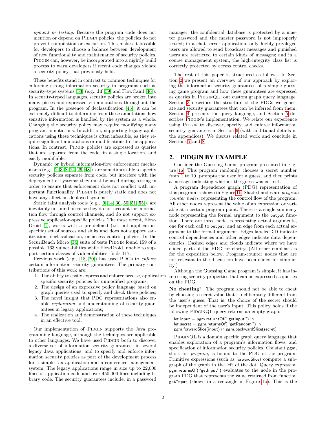opment or testing. Because the program code does not mention or depend on PIDGIN policies, the policies do not prevent compilation or execution. This makes it possible for developers to choose a balance between development of new functionality and maintenance of security policies. PIDGIN can, however, be incorporated into a nightly build process to warn developers if recent code changes violate a security policy that previously held.

These benefits stand in contrast to common techniques for enforcing strong information security in programs such as security-type systems [\[53\]](#page-13-1) (e.g., Jif [\[39\]](#page-12-1) and FlowCaml [\[46\]](#page-12-5)). In security-typed languages, security policies are broken into many pieces and expressed via annotations throughout the program. In the presence of declassification [\[45\]](#page-12-6), it can be extremely difficult to determine from these annotations how sensitive information is handled by the system as a whole. Changing the security policy may require modifying many program annotations. In addition, supporting legacy applications using these techniques is often infeasible, as they require significant annotations or modifications to the applications. In contrast, PIDGIN policies are expressed as queries that are separate from the code, in a single location, and easily modifiable.

Dynamic or hybrid information-flow enforcement mechanisms  $(e.g., [2, 3, 8, 24, 29, 48])$  $(e.g., [2, 3, 8, 24, 29, 48])$  $(e.g., [2, 3, 8, 24, 29, 48])$  $(e.g., [2, 3, 8, 24, 29, 48])$  $(e.g., [2, 3, 8, 24, 29, 48])$  $(e.g., [2, 3, 8, 24, 29, 48])$  $(e.g., [2, 3, 8, 24, 29, 48])$  $(e.g., [2, 3, 8, 24, 29, 48])$  are sometimes able to specify security policies separate from code, but interfere with the deployment of systems: they must be used during testing in order to ensure that enforcement does not conflict with important functionality. PIDGIN is purely static and does not have any affect on deployed systems.

Static taint analysis tools (e.g., [\[9,](#page-11-6) [14,](#page-11-7) [30,](#page-12-8) [50,](#page-12-9) [51,](#page-13-0) [55\]](#page-13-2)). are inevitably unsound because they do not account for information flow through control channels, and do not support expressive application-specific policies. The most recent, Flow-Droid [\[1\]](#page-11-1), works with a pre-defined (i.e. not applicationspecific) set of sources and sinks and does not support sanitization, declassification, or access control policies. In the SecuriBench Micro [\[34\]](#page-12-10) suite of tests PIDGIN found 159 of a possible 163 vulnerabilities while FlowDroid, unable to support certain classes of vulnerabilities, finds 117.

Previous work (e.g., [\[18,](#page-11-0) [20\]](#page-12-11)) has used PDGs to enforce certain information security guarantees. The primary contributions of this work are:

- 1. The ability to easily express and enforce precise, applicationspecific security policies for unmodified programs;
- 2. The design of an expressive policy language based on graph queries used to specify and check these policies;
- 3. The novel insight that PDG representations also enable exploration and understanding of security guarantees in legacy applications;
- 4. The realization and demonstration of these techniques in an effective tool.

Our implementation of PIDGIN supports the Java programming language, although the techniques are applicable to other languages. We have used PIDGIN both to discover a diverse set of information security guarantees in several legacy Java applications, and to specify and enforce information security policies as part of the development process for a simple tax application and a conference management system. The legacy applications range in size up to 22,000 lines of application code and over 450,000 lines including library code. The security guarantees include: in a password manager, the confidential database is protected by a master password and the master password is not improperly leaked; in a chat server application, only highly privileged users are allowed to send broadcast messages and punished users are restricted to certain kinds of messages; and in a course management system, the high-integrity class list is correctly protected by access control checks.

The rest of this paper is structured as follows. In Section [2](#page-2-0) we present an overview of our approach by exploring the information security guarantees of a simple guessing game program and how these guarantees are expressed as queries in PIDGINQL, our custom graph query language. Section [3](#page-4-0) describes the structure of the PDGs we generate and security guarantees that can be inferred from them. Section [4](#page-6-0) presents the query language, and Section [5](#page-7-0) describes PIDGIN's implementation. We relate our experience using PIDGIN to discover, specify, and enforce information security guarantees in Section [6](#page-8-0) (with additional details in the appendices). We discuss related work and conclude in Sections [7](#page-10-0) and [8.](#page-11-8)

# <span id="page-2-0"></span>2. PIDGIN BY EXAMPLE

Consider the Guessing Game program presented in Figure [1a.](#page-3-0) This program randomly chooses a secret number from 1 to 10, prompts the user for a guess, and then prints a message indicating whether the guess was correct.

A program dependence graph (PDG) representation of this program is shown in Figure [1b.](#page-3-0) Shaded nodes are programcounter nodes, representing the control flow of the program. All other nodes represent the value of an expression or variable at a certain program point. There is a single summary node representing the formal argument to the output function. There are three nodes representing actual arguments, one for each call to output, and an edge from each actual argument to the formal argument. Edges labeled CD indicate control dependencies and other edges indicate data dependencies. Dashed edges and clouds indicate where we have elided parts of the PDG for clarity. (All other emphasis is for the exposition below. Program-counter nodes that are not relevant to the discussion have been elided for simplicity.)

Although the Guessing Game program is simple, it has interesting security properties that can be expressed as queries on the PDG.

No cheating! The program should not be able to cheat by choosing a secret value that is deliberately different from the user's guess. That is, the choice of the secret should be independent of the user's input. This policy holds if the following PIDGINQL query returns an empty graph:

let input = pgm.returnsOf(''getInput'') in let secret = pgm.returnsOf(''getRandom'') in pgm.forwardSlice(input) ∩ pgm.backwardSlice(secret)

PIDGINQL is a domain specific graph query language that enables exploration of a program's information flows, and specification of information security policies. Constant pgm, short for *program*, is bound to the PDG of the program. Primitive expressions (such as forwardSlice) compute a subgraph of the graph to the left of the dot. Query expression pgm.returnsOf(''getInput'') evaluates to the node in the program PDG that represents the value returned from function getInput (shown in a rectangle in Figure [1b\)](#page-3-0). This is the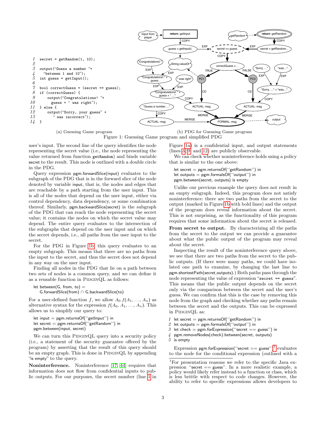<span id="page-3-2"></span><span id="page-3-1"></span><span id="page-3-0"></span>

<span id="page-3-4"></span><span id="page-3-3"></span>(a) Guessing Game program

Figure 1: Guessing Game program and simplified PDG

user's input. The second line of the query identifies the node representing the secret value (i.e., the node representing the value returned from function getRandom) and binds variable secret to the result. This node is outlined with a double circle in the PDG.

Query expression pgm.forwardSlice(input) evaluates to the subgraph of the PDG that is in the forward slice of the node denoted by variable input, that is, the nodes and edges that are reachable by a path starting from the user input. This is all of the nodes that depend on the user input, either via control dependency, data dependency, or some combination thereof. Similarly, pgm.backwardSlice(secret) is the subgraph of the PDG that can reach the node representing the secret value; it contains the nodes on which the secret value may depend. The entire query evaluates to the intersection of the subgraphs that depend on the user input and on which the secret depends, i.e., all paths from the user input to the secret.

For the PDG in Figure [1b,](#page-3-0) this query evaluates to an empty subgraph. This means that there are no paths from the input to the secret, and thus the secret does not depend in any way on the user input.

Finding all nodes in the PDG that lie on a path between two sets of nodes is a common query, and we can define it as a reusable function in  $\textsc{PIDGINQL}$  as follows:

```
let between(G, from, to) =G.forwardSlice(from) ∩ G.backwardSlice(to)
```
For a user-defined function f, we allow  $A_0$   $f(A_1, ..., A_n)$  as alternative syntax for the expression  $f(A_0, A_1, ..., A_n)$ . This allows us to simplify our query to:

```
let input = pgm.returnsOf("getInput") in
let secret = pgm.returnsOf(''getRandom'') in
pgm.between(input, secret)
```
We can turn this PIDGINQL query into a security policy (i.e., a statement of the security guarantee offered by the program) by asserting that the result of this query should be an empty graph. This is done in PIDGINQL by appending "is empty" to the query.

Noninterference. Noninterference [\[17,](#page-11-9) [44\]](#page-12-12) requires that information does not flow from confidential inputs to public outputs. For our purposes, the secret number (line [1](#page-3-1) in Figure [1a\)](#page-3-0) is a confidential input, and output statements (lines [3,](#page-3-2) [9,](#page-3-3) and [12\)](#page-3-4) are publicly observable.

We can check whether noninterference holds using a policy that is similar to the one above:

let secret = pgm.returnsOf(''getRandom'') in let outputs  $=$  pgm.formalsOf("output") in pgm.between(secret, outputs) is empty

Unlike our previous example the query does not result in an empty subgraph. Indeed, this program does not satisfy noninterference: there are two paths from the secret to the output (marked in Figure [1b](#page-3-0) with bold lines) and the output of the program does reveal information about the secret. This is not surprising, as the functionality of this program requires that some information about the secret is released.

From secret to output. By characterizing all the paths from the secret to the output we can provide a guarantee about what the public output of the program may reveal about the secret.

Inspecting the result of the noninterference query above, we see that there are two paths from the secret to the public outputs. (If there were many paths, we could have isolated one path to examine, by changing the last line to pgm.shortestPath(secret,outputs).) Both paths pass through the node representing the value of expression "secret == guess". This means that the public output depends on the secret only via the comparison between the secret and the user's guess. We can confirm that this is the case by removing this node from the graph and checking whether any paths remain between the secret and the outputs. This can be expressed in PIDGINQL as:

- 1 let secret = pgm.returnsOf("getRandom") in
- 2 let outputs = pgm.formalsOf("output") in<br>3 let check = pgm.forExpression("secret ==
- let check = pgm.forExpression("secret == guess") in
- 4 pgm.removeNodes(check).between(secret, outputs)
- $5$  is empty

Expression pgm.forExpression(''secret == guess'')<sup>[1](#page-3-5)</sup> evaluates to the node for the conditional expression (outlined with a

<span id="page-3-5"></span> $^1\rm{For}$  presentation reasons we refer to the specific Java expression ''secret == guess''. In a more realistic example, a policy would likely refer instead to a function or class, which is less brittle with respect to code changes. However, the ability to refer to specific expressions allows developers to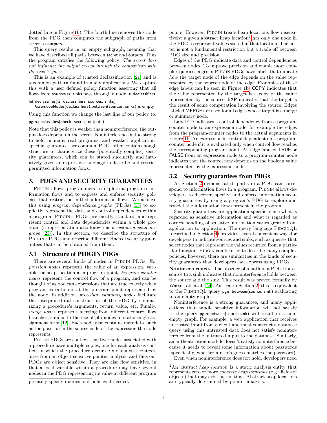dotted line in Figure [1b\)](#page-3-0). The fourth line removes this node from the PDG then computes the subgraph of paths from secret to outputs.

This query results in an empty subgraph, meaning that we have described all paths between secret and outputs. Thus the program satisfies the following policy: The secret does not influence the output except through the comparison with the user's guess.

This is an example of trusted declassification [\[21\]](#page-12-4) and is a common pattern found in many applications. We capture this with a user defined policy function asserting that all flows from sources to sinks pass through a node in declassifiers.

```
let declassifies(G, declassifiers, sources, sinks) =
```
G.removeNodes(declassifiers).between(sources, sinks) is empty

Using this function we change the last line of our policy to:

pgm.declassifies(check, secret, outputs)

Note that this policy is weaker than noninterference: the output does depend on the secret. Noninterference is too strong to hold in many real programs, and weaker, applicationspecific, guarantees are common. PDGs often contain enough structure to characterize these (potentially complex) security guarantees, which can be stated succinctly and intuitively given an expressive language to describe and restrict permitted information flows.

# <span id="page-4-0"></span>3. PDGS AND SECURITY GUARANTEES

PIDGIN allows programmers to explore a program's information flows and to express and enforce security policies that restrict permitted information flows. We achieve this using program dependence graphs (PDGs) [\[15\]](#page-11-2) to explicitly represent the data and control dependencies within a program. PIDGIN's PDGs are mostly standard, and represent control and data dependencies within a whole program (a representation also known as a system dependence graph [\[23\]](#page-12-13)). In this section, we describe the structure of PIDGIN's PDGs and describe different kinds of security guarantees that can be obtained from them.

## 3.1 Structure of PIDGIN PDGs

There are several kinds of nodes in PIDGIN PDGs. Expression nodes represent the value of an expression, variable, or heap location at a program point. Program-counter nodes represent the control flow of a program, and can be thought of as boolean expressions that are true exactly when program execution is at the program point represented by the node. In addition, procedure summary nodes facilitate the interprocedural construction of the PDG by summarizing a procedure's arguments, return value, etc. Finally, merge nodes represent merging from different control flow branches, similar to the use of phi nodes in static single assignment form [\[12\]](#page-11-10). Each node also contains metadata, such as the position in the source code of the expression the node represents.

PIDGIN PDGs are context sensitive: nodes associated with a procedure have multiple copies, one for each analysis context in which the procedure occurs. Our analysis contexts arise from an object-sensitive pointer analysis, and thus our PDGs are object sensitive. They are also flow sensitive, in that a local variable within a procedure may have several nodes in the PDG representing its value at different program

precisely specify queries and policies if needed.

points. However, PIDGIN treats heap locations flow insensi-tively: a given abstract heap location<sup>[2](#page-4-1)</sup> has only one node in the PDG to represent values stored in that location. The latter is not a fundamental restriction but a trade off between PDG size and precision.

Edges of the PDG indicate data and control dependencies between nodes. To improve precision and enable more complex queries, edges in PIDGIN PDGs have labels that indicate how the target node of the edge depends on the value represented by the source node of the edge. Examples of these edge labels can be seen in Figure [1b.](#page-3-0) COPY indicates that the value represented by the target is a copy of the value represented by the source. EXP indicates that the target is the result of some computation involving the source. Edges labeled MERGE are used for all edges whose target is a merge or summary node.

Label CD indicates a control dependency from a programcounter node to an expression node, for example the edges from the program-counter nodes to the actual arguments in Figure [1b.](#page-3-0) An expression is control dependent on a programcounter node if it is evaluated only when control flow reaches the corresponding program point. An edge labeled TRUE or FALSE from an expression node to a program-counter node indicates that the control flow depends on the boolean value represented by the expression node.

## <span id="page-4-2"></span>3.2 Security guarantees from PDGs

As Section [2](#page-2-0) demonstrated, paths in a PDG can correspond to information flows in a program. PIDGIN allows developers to discover, specify, and enforce information security guarantees by using a program's PDG to explore and restrict the information flows present in the program.

Security guarantees are application specific, since what is regarded as sensitive information and what is regarded as correct handling of sensitive information varies greatly from application to application. The query language  $PIDGINQL$ (described in Section [4\)](#page-6-0) provides several convenient ways for developers to indicate sources and sinks, such as queries that select nodes that represent the values returned from a particular function. PIDGIN can be used to describe many complex policies, however, there are similarities in the kinds of security guarantees that developers can express using PDGs.

Noninterference. The absence of a path in a PDG from a source to a sink indicates that noninterference holds between the source and the sink. This result was proved formally by Wasserrab et al. [\[54\]](#page-13-3). As seen in Section [2,](#page-2-0) this is equivalent to the PIDGINQL query pgm.between(source, sink) evaluating to an empty graph.

Noninterference is a strong guarantee, and many applications that handle sensitive information will not satisfy it: the query pgm.between(source,sink) will result in a nonempty graph. For example, a web application that receives untrusted input from a client and must construct a database query using this untrusted data does not satisfy noninterference from the untrusted input to the database. Similarly, an authentication module doesn't satisfy noninterference because it needs to reveal some information about passwords (specifically, whether a user's guess matches the password). Even when noninterference does not hold, developers need

<span id="page-4-1"></span><sup>&</sup>lt;sup>2</sup>An *abstract heap location* is a static analysis entity that represents zero or more concrete heap locations (e.g., fields of objects) that may exist at run time. Abstract heap locations are typically determined by pointer analysis.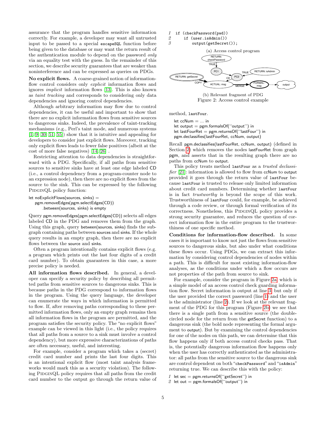assurance that the program handles sensitive information correctly. For example, a developer may want all untrusted input to be passed to a special escapeSQL function before being given to the database or may want the return result of the authentication module to depend on the password only via an equality test with the guess. In the remainder of this section, we describe security guarantees that are weaker than noninterference and can be expressed as queries on PDGs.

No explicit flows. A coarse-grained notion of informationflow control considers only *explicit* information flows and ignores implicit information flows [\[13\]](#page-11-11). This is also known as taint tracking and corresponds to considering only data dependencies and ignoring control dependencies.

Although arbitrary information may flow due to control dependencies, it can be useful and important to show that there are no explicit information flows from sensitive sources to dangerous sinks. Indeed, the prevalence of taint-tracking mechanisms (e.g., Perl's taint mode, and numerous systems  $[1, 9, 30, 51, 55]$  $[1, 9, 30, 51, 55]$  $[1, 9, 30, 51, 55]$  $[1, 9, 30, 51, 55]$  $[1, 9, 30, 51, 55]$  show that it is intuitive and appealing for developers to consider just explicit flows. Moreover, tracking only explicit flows leads to fewer false positives (albeit at the cost of more false negatives) [\[14,](#page-11-7) [26\]](#page-12-14) .

Restricting attention to data dependencies is straightforward with a PDG. Specifically, if all paths from sensitive sources to sensitive sinks have at least one edge labeled CD (i.e., a control dependency from a program-counter node to an expression node), then there are no explicit flows from the source to the sink. This can be expressed by the following PIDGINQL policy function:

```
let noExplicitFlows(sources, sinks) =pgm.removeEdges(pgm.selectEdges(CD))
       .between(sources, sinks) is empty
```
Query pgm.removeEdges(pgm.selectEdges(CD)) selects all edges labeled CD in the PDG and removes them from the graph. Using this graph, query between(sources, sinks) finds the subgraph containing paths between sources and sinks. If the whole query results in an empty graph, then there are no explicit flows between the source and sinks.

Often a program intentionally contains explicit flows (e.g. a program which prints out the last four digits of a credit card number). To obtain guarantees in this case, a more precise policy is needed.

All information flows described. In general, a developer can specify a security policy by describing all permitted paths from sensitive sources to dangerous sinks. This is because paths in the PDG correspond to information flows in the program. Using the query language, the developer can enumerate the ways in which information is permitted to flow. If, after removing paths corresponding to these permitted information flows, only an empty graph remains then all information flows in the program are permitted, and the program satisfies the security policy. The "no explicit flows" example can be viewed in this light (i.e., the policy requires that all paths from a source to a sink must involve a control dependency), but more expressive characterizations of paths are often necessary, useful, and interesting.

For example, consider a program which takes a (secret) credit card number and prints the last four digits. This is an intentional explicit flow (most taint analysis frameworks would mark this as a security violation). The following PIDGINQL policy requires that all paths from the credit card number to the output go through the return value of

<span id="page-5-3"></span><span id="page-5-2"></span><span id="page-5-0"></span>
$$
1 \quad \text{if} \quad (\text{checkPassword}(\text{pwd}))
$$

2 if (user.isAdmin())

<span id="page-5-1"></span>3 output(getSecret());





method, lastFour.

 $let$  ccNum  $=$  ... in

let output = pgm.formalsOf(''output'') in let lastFourRet = pgm.returnsOf(''lastFour'') in pgm.declassifies(lastFourRet, ccNum, output)

Recall pgm.declassifies(lastFourRet, ccNum, output) (defined in Section [2\)](#page-2-0) which removes the nodes lastFourRet from graph pgm, and asserts that in the resulting graph there are no paths from ccNum to output.

This policy treats method lastFour as a trusted declassi-fier [\[21\]](#page-12-4): information is allowed to flow from ccNum to output provided it goes through the return value of lastFour because lastFour is trusted to release only limited information about credit card numbers. Determining whether lastFour is in fact trustworthy is beyond the scope of this work. Trustworthiness of lastFour could, for example, be achieved through a code review, or through formal verification of its correctness. Nonetheless, this PIDGINQL policy provides a strong security guarantee, and reduces the question of correct information flow in the entire program to the trustworthiness of one specific method.

Conditions for information-flow described. In some cases it is important to know not just the flows from sensitive sources to dangerous sinks, but also under what conditions these flows occur. Using PDGs, we can extract this information by considering control dependencies of nodes within a path. This is difficult for most existing information-flow analyses, as the conditions under which a flow occurs are not properties of the path from source to sink.

For example, consider the program in Figure [2a,](#page-5-0) which is a simple model of an access control check guarding information flow. Secret information is output at line [3,](#page-5-1) but only if the user provided the correct password (line [1\)](#page-5-2) and the user is the administrator (line [2\)](#page-5-3). If we look at the relevant fragment of the PDG for this program (Figure [2b\)](#page-5-0) we see that there is a single path from a sensitive source (the doublecircled node for the return from the getSecret function) to a dangerous sink (the bold node representing the formal argument to output). But by examining the control dependencies for one of the nodes on this path, we can determine that this flow happens only if both access control checks pass. That is, the potentially dangerous information flow happens only when the user has correctly authenticated as the administrator: all paths from the sensitive source to the dangerous sink are control dependent on both "checkPassword" and "isAdmin" returning true. We can describe this with the policy:

<span id="page-5-4"></span>1 let sec = pgm.returnsOf("getSecret") in

<span id="page-5-5"></span>2 let out = pgm.formals $Of('^{\prime}$ output'') in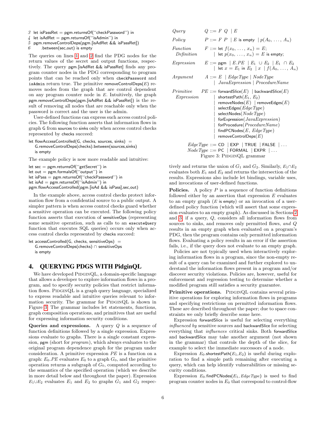- 3 let isPassRet = pgm.returnsOf("checkPassword") in
- $4$  let isAdRet = pgm.returnsOf("isAdmin") in
- 5 pgm.removeControlDeps(pgm.[isAdRet && isPassRet])

 $6$  .between(sec, out) is empty

The queries on lines [1](#page-5-4) and [2](#page-5-5) find the PDG nodes for the return values of the secret and output functions, respectively. The query pgm.[isAdRet && isPassRet] finds any program counter nodes in the PDG corresponding to program points that can be reached only when checkPassword and isAdmin return true. The primitive removeControlDeps $(E)$  removes nodes from the graph that are control dependent on any program counter node in  $E$ . Intuitively, the graph pgm.removeControlDeps(pgm.[isAdRet && isPassRet]) is the result of removing all nodes that are reachable only when the password is correct and the user is the admin.

User-defined functions can express such access control policies. The following function asserts that information flows in graph G from sources to sinks only when access control checks represented by checks succeed:

```
let flowAccessControlled(G, checks, sources, sinks) =G.removeControlDeps(checks).between(sources,sinks)
   is empty
```
The example policy is now more readable and intuitive:

```
let sec = pgm.returnsOf(''getSecret'') in
let out = pgm.formalsOf("output") in
let isPass = pgm.returnsOf(''checkPassword'') in
let isAd = pgm.returnsOf(''isAdmin'') in
pgm.flowAccessControlled(pgm.[isAd && isPass],sec,out)
```
In the example above, access control checks protect information flow from a confidential source to a public output. A simpler pattern is when access control checks guard whether a sensitive operation can be executed. The following policy function asserts that execution of sensitiveOps (representing some sensitive operation, such as calls to an executeQuery function that executes SQL queries) occurs only when access control checks represented by checks succeed:

```
let accessControlled(G, checks, sensitiveOps) =
   G.removeControlDeps(checks) ∩ sensitiveOps
   is empty
```
# <span id="page-6-0"></span>4. QUERYING PDGS WITH PidginQL

We have developed PIDGINQL, a domain-specific language that allows a developer to explore information flows in a program, and to specify security policies that restrict information flows. PIDGINQL is a graph query language, specialized to express readable and intuitive queries relevant to information security. The grammar for PIDGINQL is shown in Figure [3.](#page-6-1) The grammar includes let statements, functions, graph composition operations, and primitives that are useful for expressing information security conditions.

Queries and expressions. A query  $Q$  is a sequence of function definitions followed by a single expression. Expressions evaluate to graphs. There is a single constant expression, pgm (short for *program*), which always evaluates to the original program dependence graph for the program under consideration. A primitive expression PE is a function on a graph:  $E_0$ . PE evaluates  $E_0$  to a graph  $G_0$ , and the primitive operation returns a subgraph of  $G_0$ , computed according to the semantics of the specified operation (which we describe in more detail below and throughout the paper). Expression  $E_1 \cup E_2$  evaluates  $E_1$  and  $E_2$  to graphs  $G_1$  and  $G_2$  respec-

<span id="page-6-1"></span>

| Query                                                 | $Q ::= F \ Q \   \ E$                                                                                                                                                                                                                                                                                        |  |  |  |  |
|-------------------------------------------------------|--------------------------------------------------------------------------------------------------------------------------------------------------------------------------------------------------------------------------------------------------------------------------------------------------------------|--|--|--|--|
| Policy                                                | $P ::= F \; P \;   \; E$ is empty $  p(A_0, \ldots, A_n)$                                                                                                                                                                                                                                                    |  |  |  |  |
| Function<br>Definition                                | $F ::=$ let $f(x_0, \ldots, x_n) = E$ ;<br>  let $p(x_0, \ldots, x_n) = E$ is empty;                                                                                                                                                                                                                         |  |  |  |  |
| Expression                                            | $E ::=$ pgm $ E.PE    E_1 \cup E_2   E_1 \cap E_2$<br>  let $x = E_1$ in $E_2   x   f(A_0, , A_n)$                                                                                                                                                                                                           |  |  |  |  |
| Argument                                              | $A ::= E \mid EdgeType \mid NodeType$<br>$\mid$ JavaExpression $\mid$ ProcedureName                                                                                                                                                                                                                          |  |  |  |  |
| Primitive<br>Expression                               | $PE ::=$ forwardSlice(E)   backwardSlice(E)<br>shortestPath $(E_1, E_2)$<br>removeNodes $(E)$   removeEdges $(E)$<br>selectEdges $(EdgeType)$<br>selectNodes( $NodeType)$<br>for Expression ( $Java Expression$ )<br>forProcedure(ProcedureName)<br>find PCN odes $(E, EdgeType)$<br>removeControlDeps $(E)$ |  |  |  |  |
| $EdgeType ::= CD \mid EXP \mid TRUE \mid FALSE \mid $ |                                                                                                                                                                                                                                                                                                              |  |  |  |  |
|                                                       | $NodeType ::= PC   FORMAL   EXPR   $                                                                                                                                                                                                                                                                         |  |  |  |  |
|                                                       | Figure 3: PIDGINQL grammar                                                                                                                                                                                                                                                                                   |  |  |  |  |

tively and returns the union of  $G_1$  and  $G_2$ . Similarly,  $E_1 \cap E_2$ evaluates both  $E_1$  and  $E_2$  and returns the intersection of the results. Expressions also include let bindings, variable uses, and invocations of user-defined functions.

**Policies.** A policy  $P$  is a sequence of function definitions followed either by an assertion that expression  $E$  evaluates to an empty graph  $(E \text{ is empty})$  or an invocation of a userdefined policy function (which will assert that some expression evaluates to an empty graph). As discussed in Sections [2](#page-2-0) and [3,](#page-4-0) if a query, Q, considers all information flows from sources to sinks, and removes only permitted flows, and  $Q$ results in an empty graph when evaluated on a program's PDG, then the program contains only permitted information flows. Evaluating a policy results in an error if the assertion fails, i.e., if the query does not evaluate to an empty graph.

Policies are not typically used when interactively exploring information flows in a program, since the non-empty result of a query can be examined and further explored to understand the information flows present in a program and/or discover security violations. Policies are, however, useful for enforcement and regression testing to determine whether a modified program still satisfies a security guarantee.

Primitive operations. PIDGINOL contains several primitive operations for exploring information flows in programs and specifying restrictions on permitted information flows. These are described throughout the paper; due to space constraints we only briefly describe some here.

Expression forwardSlice is useful for selecting everything influenced by sensitive sources and backwardSlice for selecting everything that influences critical sinks. Both forwardSlice and backwardSlice may take another argument (not shown in the grammar) that controls the depth of the slice, for example to select the immediate successors of a node.

Expression  $E_0$  shortestPath $(E_1, E_2)$  is useful during exploration to find a simple path remaining after executing a query, which can help identify vulnerabilities or missing security conditions.

Expression  $E_0$ .findPCNodes( $E_1$ ,  $EdgeType$ ) is used to find program counter nodes in  $E_0$  that correspond to control-flow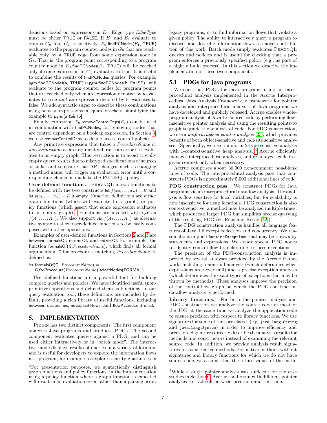decisions based on expressions in  $E_1$ . Edge type  $EdgeType$ must be either TRUE or FALSE. If  $E_0$  and  $E_1$  evaluate to graphs  $G_0$  and  $G_1$  respectively,  $E_0$ .findPCNodes( $E_1$ , TRUE) evaluates to the program counter nodes in  $G_0$  that are reachable only by a TRUE edge from some expression node in  $G_1$ . That is, the program point corresponding to a program counter node in  $E_0$  find PCN odes  $(E_1, \text{TRUE})$  will be reached only if some expression in  $G_1$  evaluates to true. It is useful to combine the results of findPCNodes queries. For example, pgm.findPCNodes(a, TRUE) ∩ pgm.findPCNodes(b, FALSE) will evaluate to the program counter nodes for program points that are reached only when an expression denoted by a evaluates to true and an expression denoted by b evaluates to false. We add syntactic sugar to describe these combinations using boolean expressions in square brackets, simplifying the example to pgm.[a && !b].

Finally expression  $E_0$  removeControlDeps( $E_1$ ) can be used in combination with findPCNodes, for removing nodes that are control dependent on a boolean expression. In Section [3,](#page-4-0) we use removeControlDeps to define access control policies.

Any primitive expression that takes a *ProcedureName* or JavaExpression as an argument will raise an error if it evaluates to an empty graph. This restriction is to avoid trivially empty query results due to mistyped specifications of sources or sinks, and to ensure that API changes, such as changing a method name, will trigger an evaluation error until a corresponding change is made to the PIDGINQL policy.

User-defined functions. PIDGINQL allows functions to be defined with the two constructs let  $f(x_0, \ldots, x_n) = E$  and let  $p(x_0, \ldots, x_n) = E$  is empty. Function definitions are either graph functions (which will evaluate to a graph) or policy functions (which assert that some expression evaluates to an empty graph).<sup>[3](#page-7-1)</sup> Functions are invoked with syntax  $f(A_0, \ldots, A_n)$ . We also support  $A_0, f(A_1, \ldots, A_n)$  as alternative syntax to allow user-defined functions to be easily composed with other operations.

Examples of user-defined functions in Sections [2](#page-2-0) and [3](#page-4-0) are between, formalsOf, returnsOf, and entriesOf. For example, the function formalsOf(G,ProcedureName), which finds all formal arguments in G for procedures matching ProcedureName, is defined as:

let formalsOf(G,  $ProceedureName) =$ G.forProcedure(ProcedureName).selectNodes(FORMAL)

User-defined functions are a powerful tool for building complex queries and policies. We have identified useful (nonprimitive) operations and defined them as functions. In our query evaluation tool, these definitions are included by default, providing a rich library of useful functions, including between, declassifies, noExplicitFlows, and flowAccessControlled.

#### <span id="page-7-0"></span>5. IMPLEMENTATION

PIDGIN has two distinct components. The first component analyzes Java programs and produces PDGs. The second component evaluates queries against a PDG, and can be used either interactively or in "batch mode". The interactive mode displays results of queries in a variety of formats, and is useful for developers to explore the information flows in a program, for example to explore security guarantees in legacy programs, or to find information flows that violate a given policy. The ability to interactively query a program to discover and describe information flows is a novel contribution of this work. Batch mode simply evaluates PIDGINQL queries and policies and is useful for checking that a program enforces a previously specified policy (e.g., as part of a nightly build process). In this section we describe the implementation of these two components.

# <span id="page-7-3"></span>5.1 PDGs for Java programs

We construct PDGs for Java programs using an interprocedural analysis implemented in the Accrue Interprocedural Java Analysis Framework, a framework for pointer analysis and interprocedural analysis of Java programs we have developed and publicly released. Accrue enables wholeprogram analysis of Java 1.6 source code by performing flowinsensitive pointer analysis and using the resulting points-to graph to guide the analysis of code. For PDG construction, we use a uniform hybrid pointer analysis [\[25\]](#page-12-15), which provides benefits of both object-sensitive and call-site sensitive analyses. (Specifically, we use a uniform 2-type-sensitive analysis with 1-context-sensitive heap analysis.) $4$  Accrue efficiently manages interprocedural analyses, and re-analyzes code in a given context only when necessary.

Accrue comprises about 36,000 non-comment non-blank lines of code. The interprocedural analysis pass that constructs PDGs is approximately 5,000 additional lines of code.

PDG construction pass. We construct PDGs for Java programs via an interprocedural dataflow analysis. The analysis is flow sensitive for local variables, but for scalability is flow insensitive for heap locations. PDG construction is also context sensitive: a method may be analyzed multiple times, which produces a larger PDG but simplifies precise querying of the resulting PDG (cf. Reps and Rosay [\[42\]](#page-12-16)).

The PDG construction analysis handles all language features of Java 1.6 except reflection and concurrency. We reason about implicit RuntimeExceptions that may be thrown by statements and expressions. We create special PDG nodes to identify control-flow branches due to these exceptions.

The precision of the PDG-construction analysis is improved by several analyses provided by the Accrue framework, including a non-null analysis (which determines when expressions are never null) and a precise exception analysis (which determines the exact types of exceptions that may be thrown by methods). These analyses improve the precision of the control-flow graph on which the PDG-construction dataflow analysis is performed.

Library functions. For both the pointer analysis and PDG construction we analyze the source code of most of the JDK at the same time we analyze the application code to ensure precision with respect to library functions. We use signatures for some of the core classes (e.g. java.lang.String and java.lang.System) in order to improve efficiency and precision. Signatures directly describe the analysis results for methods and constructors instead of examining the relevant source code. In addition, we provide analysis result signatures for some native methods. For native methods without signatures and library functions for which we do not have source code, we assume that the return values of the meth-

<span id="page-7-1"></span><sup>3</sup>For presentation purposes, we syntactically distinguish graph functions and policy functions; in the implementation using a policy function where a graph function is expected will result in an evaluation error rather than a parsing error.

<span id="page-7-2"></span><sup>4</sup>While a single pointer analysis was sufficient for the case studies in Section [6.](#page-8-0) Accrue can be run with different pointer analyses to trade-off between precision and run time.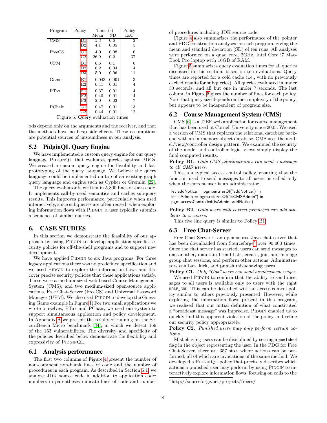<span id="page-8-5"></span>

| Program                   | Policy         | Time (s) | Policy  |                |  |
|---------------------------|----------------|----------|---------|----------------|--|
|                           |                | Mean     | SD      | $_{\rm LoC}$   |  |
| $\overline{\mathrm{CMS}}$ | B1             | 5.3      | $0.6\,$ | 3              |  |
|                           | B <sub>2</sub> | 4.1      | 0.05    | 5              |  |
| FreeCS                    | $_{\rm C1}$    | 4.0      | 0.08    | 6              |  |
|                           | C <sub>2</sub> | 26.9     | $0.2\,$ | 37             |  |
| <b>UPM</b>                | D1             | 6.6      | 0.1     | 6              |  |
|                           | D <sub>2</sub> | 6.2      | 0.04    | $\overline{4}$ |  |
|                           | D <sub>3</sub> | 5.0      | 0.06    | 11             |  |
| Game                      | E1             | 0.043    | 0.001   | 3              |  |
|                           | E2             | 0.41     | 0.01    | 4              |  |
| <b>PTax</b>               | F1             | 0.67     | 0.01    | 4              |  |
|                           | F2             | 0.40     | 0.01    | 4              |  |
|                           | F3             | 2.0      | 0.03    | 7              |  |
| PChair                    | G1             | 0.47     | 0.01    | 13             |  |
|                           | G <sub>2</sub> | 0.44     | 0.01    | 12             |  |

Figure 5: Query evaluation times

ods depend only on the arguments and the receiver, and that the methods have no heap side-effects. These assumptions are potential sources of unsoundness in our analysis.

## 5.2 PidginQL Query Engine

We have implemented a custom query engine for our query language PIDGINQL that evaluates queries against PDGs. We created a custom query engine for flexibility and fast prototyping of the query language. We believe the query language could be implemented on top of an existing graph query language and engine such as Cypher or Gremlin [\[22\]](#page-12-17).

The query evaluator is written in 5,800 lines of Java code. It implements call-by-need semantics and caches subquery results. This improves performance, particularly when used interactively, since subqueries are often reused: when exploring information flows with PIDGIN, a user typically submits a sequence of similar queries.

#### <span id="page-8-0"></span>6. CASE STUDIES

In this section we demonstrate the feasibility of our approach by using PIDGIN to develop application-specific security policies for off-the-shelf programs and to support new development.

We have applied PIDGIN to six Java programs. For three legacy applications there was no predefined specification and we used PIDGIN to explore the information flows and discover precise security policies that these applications satisfy. These were a medium-sized web-based Course Management System (CMS); and two medium-sized open-source applications, Free Chat-Server (FreeCS) and Universal Password Manager (UPM). We also used PIDGIN to develop the Guessing Game example in Figure [1.](#page-3-0) For two small applications we wrote ourselves, PTax and PChair, we used our system to support simultaneous application and policy development. In Appendix [A](#page-13-4) we present the results of running on the SecuriBench Micro benchmark [\[34\]](#page-12-10); in which we detect 159 of the 163 vulnerabilities. The diversity and specificity of the policies described below demonstrate the flexibility and expressivity of PIDGINQL.

#### 6.1 Analysis performance

The first two columns of Figure [4](#page-9-9) present the number of non-comment non-blank lines of code and the number of procedures in each program. As described in Section [5.1,](#page-7-3) we analyze JDK source code in addition to application code; numbers in parentheses indicate lines of code and number

of procedures including JDK source code.

Figure [4](#page-9-9) also summarizes the performance of the pointer and PDG construction analyses for each program, giving the mean and standard deviation (SD) of ten runs. All analyses were performed on a quad core, 2GHz, Intel Core i7 Mac-Book Pro laptop with 16GB of RAM.

Figure [5](#page-8-5) summarizes query evaluation times for all queries discussed in this section, based on ten evaluations. Query times are reported for a cold cache (i.e., with no previously cached results for subqueries). All queries evaluated in under 30 seconds, and all but one in under 7 seconds. The last column in Figure [5](#page-8-5) gives the number of lines for each policy. Note that query size depends on the complexity of the policy, but appears to be independent of program size.

## 6.2 Course Management System (CMS)

CMS [\[6\]](#page-11-12) is a J2EE web application for course management that has been used at Cornell University since 2005. We used a version of CMS that replaces the relational database backend with an in-memory object database. CMS uses the model/view/controller design pattern. We examined the security of the model and controller logic; views simply display the final computed results.

<span id="page-8-1"></span>Policy B1. Only CMS administrators can send a message to all CMS users.

This is a typical access control policy, ensuring that the function used to send messages to all users, is called only when the current user is an administrator.

let addNotice = pgm.entriesOf("addNotice") in let isAdmin = pgm.returnsOf("isCMSAdmin") in pgm.accessControlled(isAdmin, addNotice)

<span id="page-8-2"></span>Policy B2. Only users with correct privileges can add students to a course.

This five line query is similar to Policy [B1.](#page-8-1)

#### 6.3 Free Chat-Server

Free Chat-Server is an open-source Java chat server that has been downloaded from Sourceforge<sup>[5](#page-8-6)</sup> over 90,000 times. Once the chat server has started, users can send messages to one another, maintain friend lists, create, join and manage group chat sessions, and perform other actions. Administrators can ban, kick, and punish misbehaving users.

<span id="page-8-3"></span>Policy C1. Only "God" users can send broadcast messages. We used PIDGIN to confirm that the ability to send messages to all users is available only to users with the right ROLE\_GOD. This can be described with an access control policy similar to others previously presented. However, while exploring the information flows present in this program, we realized that our initial definition of what constituted a "broadcast message" was imprecise. PIDGIN enabled us to quickly find this apparent violation of the policy and refine our security policy appropriately.

<span id="page-8-4"></span>Policy C2. Punished users may only perform certain actions.

Misbehaving users can be disciplined by setting a punished flag in the object representing the user. In the PDG for Free Chat-Server, there are 357 sites where actions can be performed, all of which are invocations of the same method. We developed a PIDGINQL policy that precisely describes which actions a punished user may perform by using PIDGIN to interactively explore information flows, focusing on calls to the

<span id="page-8-6"></span><sup>5</sup>http://sourceforge.net/projects/freecs/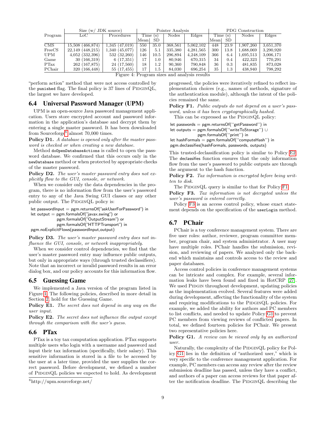<span id="page-9-9"></span>

|                           | JDK source)<br>Size $(w/$ |                | Pointer Analysis |           |         |           | <b>PDG</b> Construction |         |           |           |
|---------------------------|---------------------------|----------------|------------------|-----------|---------|-----------|-------------------------|---------|-----------|-----------|
| Program                   | LoC .                     | Procedures     |                  | Time(s)   | Nodes   | Edges     |                         | Time(s) | Nodes     | Edges     |
|                           |                           |                | Mean             | <b>SD</b> |         |           | Mean                    | SD      |           |           |
| $\overline{\mathrm{CMS}}$ | 15,508 (466,874)          | 1,345(47,019)  | 550              | 35.0      | 368,561 | 5,062,102 | 448                     | 23.9    | 1.907.260 | 3,651,370 |
| FreeCS                    | 22.149 (448.215)          | 1.340 (45.077) | 126              | 5.1       | 335,380 | 4,281,565 | 300                     | 13.8    | 1,688,069 | 3,290,920 |
| UPM                       | $4,052$ $(332,396)$       | 532 (32,260)   | 146              | 10.5      | 296,894 | 4,248,109 | 366                     | 6.4     | 1,695.513 | 3,006,171 |
| Game                      | 30 (166,319)              | 6(17,351)      | 17               | $1.0\,$   | 80,946  | 670.315   | 34                      | 0.4     | 422,323   | 770,291   |
| PTax                      | 262 (167,875)             | 24 (17,560)    | 18               | $1.2\,$   | 90,360  | 790,848   | 36                      | 0.3     | 481,835   | 873,028   |
| PChair                    | 320 (166,448)             | 55 (17,455)    | 17               | $1.5\,$   | 84,030  | 696.254   | 35                      | $1.3\,$ | 438,940   | 798,292   |

Figure 4: Program sizes and analysis results

"perform action" method that were not access controlled by the punished flag. The final policy is  $37$  lines of PIDGINQL, the largest we have developed.

#### 6.4 Universal Password Manager (UPM)

UPM is an open-source Java password management application. Users store encrypted account and password information in the application's database and decrypt them by entering a single master password. It has been downloaded from Sourceforge<sup>[6](#page-9-10)</sup> almost 70,000 times.

<span id="page-9-0"></span>Policy D1. A database is opened only after the master password is checked or when creating a new database.

Method doOpenDatabaseActions is called to open the password database. We confirmed that this occurs only in the newDatabase method or when protected by appropriate checks of the master password.

<span id="page-9-1"></span>Policy D2. The user's master password entry does not explicitly flow to the GUI, console, or network.

When we consider only the data dependencies in the program, there is no information flow from the user's password entry to any of the Java Swing GUI classes or any other public output. The PIDGINQL policy is:

let passwordInput =  $pgm.returnsOf("askUserForPassword")$  in let output = pgm.formalsOf("javax.swing") or pgm.formalsOf("OutputStream") or pgm.formalsOf("HTTPTransport") in pgm.noExplicitFlows(passwordInput,output)

<span id="page-9-2"></span>Policy D3. The user's master password entry does not influence the GUI, console, or network inappropriately.

When we consider control dependencies, we find that the user's master password entry may influence public outputs, but only in appropriate ways (through trusted declassifiers). Note that an incorrect or invalid password results in an error dialog box, and our policy accounts for this information flow.

#### 6.5 Guessing Game

We implemented a Java version of the program listed in Figure [1.](#page-3-0) The following policies, described in more detail in Section [2,](#page-2-0) hold for the Guessing Game.

<span id="page-9-3"></span>Policy E1. The secret does not depend in any way on the user input.

<span id="page-9-4"></span>Policy E2. The secret does not influence the output except through the comparison with the user's guess.

## 6.6 PTax

PTax is a toy tax computation application. PTax supports multiple users who login with a username and password and input their tax information (specifically, their salary). This sensitive information is stored in a file to be accessed by the user at a later time, provided the user supplies the correct password. Before development, we defined a number of PIDGINQL policies we expected to hold. As development

progressed, the policies were iteratively refined to reflect implementation choices (e.g., names of methods, signature of the authentication module), although the intent of the policies remained the same.

<span id="page-9-5"></span>Policy F1. Public outputs do not depend on a user's password, unless it has been cryptographically hashed.

This can be expressed as the PIDGINQL policy:

let passwords = pgm.returnsOf(''getPassword'') in let outputs = pgm.formalsOf(''writeToStorage'') ∪ pgm.formalsOf(''print'') in

let hashFormals  $=$  pgm.formalsOf("computeHash") in pgm.declassifies(hashFormals, passwords, outputs)

This trusted-declassification policy is similar to Policy [E2.](#page-9-4) The declassifies function ensures that the only information flow from the user's password to public outputs are through the argument to the hash function.

<span id="page-9-6"></span>Policy F2. Tax information is encrypted before being written to disk.

The PIDGINQL query is similar to that for Policy [F1.](#page-9-5)

<span id="page-9-7"></span>Policy F3. Tax information is not decrypted unless the user's password is entered correctly.

Policy [F3](#page-9-7) is an access control policy, whose exact statement depends on the specification of the userLogin method.

#### 6.7 PChair

PChair is a toy conference management system. There are five user roles: author, reviewer, program committee member, program chair, and system administrator. A user may have multiple roles. PChair handles the submission, revision, and reviewing of papers. We analyzed only the backend which maintains and controls access to the review and paper databases.

Access control policies in conference management systems can be intricate and complex. For example, several information leaks have been found and fixed in HotCRP [\[27\]](#page-12-18). We used PIDGIN throughout development, updating policies as the implementation evolved. Several features were added during development, affecting the functionality of the system and requiring modifications to the PIDGINQL policies. For example, we added the ability for authors and PC members to list conflicts, and needed to update Policy [G1](#page-9-8) to prevent PC members from viewing reviews of conflicted papers. In total, we defined fourteen policies for PChair. We present two representative policies here.

<span id="page-9-8"></span>Policy G1. A review can be viewed only by an authorized user.

Naturally, the complexity of the PIDGINQL policy for Policy [G1](#page-9-8) lies in the definition of "authorized user," which is very specific to the conference management application. For example, PC members can access any review after the review submission deadline has passed, unless they have a conflict, and authors of a paper can access reviews for that paper after the notification deadline. The PIDGINQL describing the

<span id="page-9-10"></span> $6$ http://upm.sourceforge.net/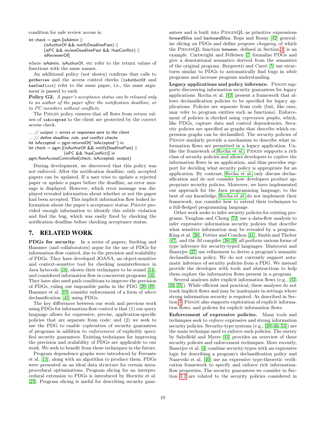condition for safe review access is:

```
let check = pgm.[isAdmin ||(isAuthorOf && notifyDeadlinePast) ||
       (isPC && reviewDeadlinePast && !hasConflict) ||
       isReviewerOf]
```
where isAdmin, isAuthorOf, etc refer to the return values of functions with the same names.

An additional policy (not shown) confirms that calls to getReview and the access control checks (isAuthorOf and hasConflict) refer to the same paper, i.e., the same argument is passed to each.

<span id="page-10-1"></span>Policy G2. A paper's acceptance status can be released only to an author of the paper after the notification deadline, or to PC members without conflicts.

The PIDGIN policy ensures that all flows from return values of isAccepted to the client are protected by the correct access check.

```
\ldots // output = errors or responses sent to the client
... // define deadline, role, and conflict checks
let isAccepted = pgm.returnsOf('isAccepted'') in
let check = pgm.[(isAuthorOf && notifyDeadlinePast) ||
                  (isPC && !hasConflict)] in
```
pgm.flowAccessControlled(check, isAccepted, output)

During development, we discovered that this policy was not enforced. After the notification deadline, only accepted papers can be updated. If a user tries to update a rejected paper or update a paper before the deadline, an error message is displayed. However, which error message was displayed revealed information about whether or not the paper had been accepted. This implicit information flow leaked information about the paper's acceptance status. PIDGIN provided enough information to identify this subtle violation and find the bug, which was easily fixed by checking the notification deadline before checking acceptance status.

## <span id="page-10-0"></span>7. RELATED WORK

PDGs for security. In a series of papers, Snelting and Hammer (and collaborators) argue for the use of PDGs for information-flow control, due to the precision and scalability of PDGs. They have developed JOANA, an object-sensitive and context-sensitive tool for checking noninterference in Java bytecode [\[18\]](#page-11-0), shown their techniques to be sound [\[54\]](#page-13-3), and considered information flow in concurrent programs [\[16\]](#page-11-13). They have also used path conditions to improve the precision of PDGs, ruling out impossible paths in the PDG [\[20,](#page-12-11) [49\]](#page-12-19). Hammer et al. [\[19\]](#page-11-14) consider enforcement of a form of where declassification [\[45\]](#page-12-6) using PDGs.

The key differences between our work and previous work using PDGs for information-flow control is that (1) our query language allows for expressive, precise, application-specific policies that are separate from code; and (2) we seek to use the PDG to enable exploration of security guarantees of programs in addition to enforcement of explicitly specified security guarantees. Existing techniques for improving the precision and scalability of PDGs are applicable to our work. We seek to benefit from these techniques in the future.

Program dependence graphs were introduced by Ferrante et al. [\[15\]](#page-11-2), along with an algorithm to produce them. PDGs were presented as an ideal data structure for certain intraprocedural optimizations. Program slicing for an interprocedural extension to PDGs is introduced by Horwitz et al. [\[23\]](#page-12-13). Program slicing is useful for describing security guarantees and is built into PIDGINQL as primitive expressions forwardSlice and backwardSlice. Reps and Rosay [\[42\]](#page-12-16) generalize slicing on PDGs and define program chopping, of which the PIDGINQL function between, defined in Section [2,](#page-2-0) is an example. Cartwright and Felleisen [\[7\]](#page-11-15) formalize PDGs and give a denotational semantics derived from the semantics of the original program. Bergeretti and Carré  $[5]$  use structures similar to PDGs to automatically find bugs in while programs and increase program understanding.

Legacy applications and policy inference. PIDGIN supports discovering information security guarantees for legacy applications. Rocha et al. [\[43\]](#page-12-20) present a framework that allows declassification policies to be specified for legacy applications. Policies are separate from code (but, like ours, may refer to program entities such as functions). Enforcement of policies is checked using expression graphs, which, like PDGs, capture data and control dependencies. Security policies are specified as graphs that describe which expression graphs can be declassified. The security policies of PIDGIN similarly provide a mechanism to describe what information flows are permitted in a legacy application. Un-like the framework of [Rocha et al.,](#page-12-20) PIDGIN supports a rich class of security policies and allows developers to explore the information flows in an application, and thus provides support for deciding what security policy is appropriate for an application. By contrast, [Rocha et al.](#page-12-20) only discuss declassification and do not consider how developers produce appropriate security policies. Moreover, we have implemented our approach for the Java programming language; to the best of our knowledge, [Rocha et al.](#page-12-20) do not implement their framework, nor consider how to extend their techniques to a full-fledged programming language.

Other work seeks to infer security policies for existing programs. Vaughan and Chong [\[52\]](#page-13-5) use a data-flow analysis to infer expressive information security policies that describe what sensitive information may be revealed by a program. King et al. [\[26\]](#page-12-14), Pottier and Conchon [\[41\]](#page-12-21), Smith and Thober [\[47\]](#page-12-22), and the Jif compiler [\[38,](#page-12-23) [39\]](#page-12-1) all perform various forms of type inference for security-typed languages. Mastroeni and Banerjee [\[37\]](#page-12-24) use refinement to derive a program's semantic declassification policy. We do not currently support automatic inference of security policies from a PDG. We instead provide the developer with tools and abstractions to help them explore the information flows present in a program.

Several analyses infer explicit information flows (e.g., [\[32,](#page-12-25) [33,](#page-12-26) [35\]](#page-12-27)). While efficient and practical, these analyses do not track implicit flows and may be inadequate in settings where strong information security is required. As described in Sec-tion [3,](#page-4-0) PIDGIN also supports exploration of explicit information flows, and policies for explicit information flows.

Enforcement of expressive policies. Many tools and techniques seek to enforce expressive and strong information security policies. Security-type systems (e.g., [\[39,](#page-12-1) [46,](#page-12-5) [53\]](#page-13-1)) are the main technique used to enforce such policies. The survey by Sabelfeld and Myers [\[44\]](#page-12-12) provides an overview of these security policies and enforcement techniques. More recently, Banerjee et al. [\[4\]](#page-11-17) combine security-types with an expressive logic for describing a program's declassification policy and Nanevski et al. [\[40\]](#page-12-2) use an expressive type-theoretic verification framework to specify and enforce rich informationflow properties. The security guarantees we consider in Section [3.2](#page-4-2) are related to the security policies considered in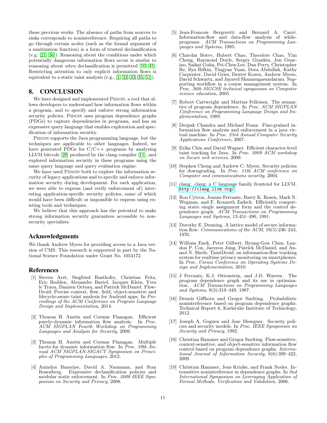these previous works. The absence of paths from sources to sinks corresponds to noninterference. Requiring all paths to go through certain nodes (such as the formal argument of a sanitization function) is a form of trusted declassification (e.g. [\[21,](#page-12-4) [36\]](#page-12-28)). Reasoning about the conditions under which potentially dangerous information flows occur is similar to reasoning about when declassification is permitted [\[10,](#page-11-18) [45\]](#page-12-6). Restricting attention to only explicit information flows is equivalent to a static taint analysis (e.g., [\[1,](#page-11-1) [32,](#page-12-25) [33,](#page-12-26) [35,](#page-12-27) [51\]](#page-13-0)).

#### <span id="page-11-8"></span>8. CONCLUSION

We have designed and implemented PIDGIN, a tool that allows developers to understand how information flows within a program, and to specify and enforce strong information security policies. PIDGIN uses program dependence graphs (PDGs) to capture dependencies in programs, and has an expressive query language that enables exploration and specification of information security.

PIDGIN supports the Java programming language, but the techniques are applicable to other languages. Indeed, we have generated PDGs for  $C/C++$  programs by analyzing LLVM bitcode [\[28\]](#page-12-29) produced by the clang compiler [\[11\]](#page-11-19), and explored information security in these programs using the same query language and query evaluation engine.

We have used PIDGIN both to explore the information security of legacy applications and to specify and enforce information security during development. For each application, we were able to express (and verify enforcement of) interesting application-specific security policies, some of which would have been difficult or impossible to express using existing tools and techniques.

We believe that this approach has the potential to make strong information security guarantees accessible to nonsecurity specialists.

#### Acknowledgments

We thank Andrew Myers for providing access to a Java version of CMS. This research is supported in part by the National Science Foundation under Grant No. 1054172.

#### References

- <span id="page-11-1"></span>[1] Steven Arzt, Siegfried Rasthofer, Christian Fritz, Eric Bodden, Alexandre Bartel, Jacques Klein, Yves le Traon, Damien Octeau, and Patrick McDaniel. Flow-Droid: Precise context, flow, field, object-sensitive and lifecycle-aware taint analysis for Android apps. In Proceedings of the ACM Conference on Program Language Design and Implementation, 2014.
- <span id="page-11-3"></span>[2] Thomas H. Austin and Cormac Flanagan. Efficient purely-dynamic information flow analysis. In Proc. ACM SIGPLAN Fourth Workshop on Programming Languages and Analysis for Security, 2009.
- <span id="page-11-4"></span>[3] Thomas H. Austin and Cormac Flanagan. Multiple facets for dynamic information flow. In Proc. 39th  $\bar{A}n$ nual ACM SIGPLAN-SIGACT Symposium on Principles of Programming Languages, 2012.
- <span id="page-11-17"></span>[4] Anindya Banerjee, David A. Naumann, and Stan Rosenberg. Expressive declassification policies and modular static enforcement. In Proc. 2008 IEEE Symposium on Security and Privacy, 2008.
- <span id="page-11-16"></span>[5] Jean-Francois Bergeretti and Bernard A. Carré. Information-flow and data-flow analysis of whileprograms. ACM Transactions on Programming Languages and Systems, 1985.
- <span id="page-11-12"></span>[6] Chavdar Botev, Hubert Chao, Theodore Chao, Yim Cheng, Raymond Doyle, Sergey Grankin, Jon Guarino, Saikat Guha, Pei-Chen Lee, Dan Perry, Christopher Re, Ilya Rifkin, Tingyan Yuan, Dora Abdullah, Kathy Carpenter, David Gries, Dexter Kozen, Andrew Myers, David Schwartz, and Jayavel Shanmugasundaram. Supporting workflow in a course management system. In Proc. 36th SIGCSE technical symposium on Computer science education, 2005.
- <span id="page-11-15"></span>[7] Robert Cartwright and Mattias Felleisen. The semantics of program dependence. In Proc. ACM SIGPLAN Conference on Programming Language Design and Implementation, 1989.
- <span id="page-11-5"></span>[8] Deepak Chandra and Michael Franz. Fine-grained information flow analysis and enforcement in a java virtual machine. In Proc. 23rd Annual Computer Security Applications Conference, 2007.
- <span id="page-11-6"></span>[9] Erika Chin and David Wagner. Efficient character-level taint tracking for Java. In Proc. 2009 ACM workshop on Secure web services, 2009.
- <span id="page-11-18"></span>[10] Stephen Chong and Andrew C. Myers. Security policies for downgrading. In Proc. 11th ACM conference on Computer and communications security, 2004.
- <span id="page-11-19"></span>[11] clang. clang: a C language family frontend for LLVM. [http://clang.llvm.org/](http://clang. llvm.org/).
- <span id="page-11-10"></span>[12] Ron Cytron, Jeanne Ferrante, Barry K. Rosen, Mark N. Wegman, and F. Kenneth Zadeck. Efficiently computing static single assignment form and the control dependence graph. ACM Transactions on Programming Languages and Systems, 13:451–490, 1991.
- <span id="page-11-11"></span>[13] Dorothy E. Denning. A lattice model of secure information flow. Communications of the ACM, 19(5):236–243, 1976.
- <span id="page-11-7"></span>[14] William Enck, Peter Gilbert, Byung-Gon Chun, Landon P. Cox, Jaeyeon Jung, Patrick McDaniel, and Anmol N. Sheth. TaintDroid: an information-flow tracking system for realtime privacy monitoring on smartphones. In Proc. Usenix Conference on Operating Systems Design and Implementation, 2010.
- <span id="page-11-2"></span>[15] J Ferrante, K.J. Ottenstein, and J.D. Warren. The program dependence graph and its use in optimization. ACM Transactions on Programming Languages and Systems, 9(3):319–349, 1987.
- <span id="page-11-13"></span>[16] Dennis Giffhorn and Gregor Snelting. Probabilistic noninterference based on program dependence graphs. Technical Report 6, Karlsruhe Institute of Technology, 2012.
- <span id="page-11-9"></span>[17] Joseph A. Goguen and Jose Meseguer. Security policies and security models. In Proc. IEEE Symposium on Security and Privacy, 1982.
- <span id="page-11-0"></span>[18] Christian Hammer and Gregor Snelting. Flow-sensitive, context-sensitive, and object-sensitive information flow control based on program dependence graphs. International Journal of Information Security, 8(6):399–422, 2009.
- <span id="page-11-14"></span>[19] Christian Hammer, Jens Krinke, and Frank Nodes. Intransitive noninterference in dependence graphs. In 2nd International Symposium on Leveraging Application of Formal Methods, Verification and Validation, 2006.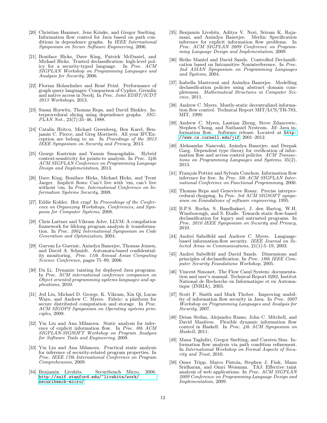- <span id="page-12-11"></span>[20] Christian Hammer, Jens Krinke, and Gregor Snelting. Information flow control for Java based on path conditions in dependence graphs. In IEEE International Symposium on Secure Software Engineering, 2006.
- <span id="page-12-4"></span>[21] Boniface Hicks, Dave King, Patrick McDaniel, and Michael Hicks. Trusted declassification: high-level policy for a security-typed language. In Proc. ACM SIGPLAN Workshop on Programming Languages and Analysis for Security, 2006.
- <span id="page-12-17"></span>[22] Florian Holzschuher and René Peinl. Performance of graph query languages: Comparison of Cypher, Gremlin and native access in Neo4j. In Proc. Joint EDBT/ICDT 2013 Workshops, 2013.
- <span id="page-12-13"></span>[23] Susan Horwitz, Thomas Reps, and David Binkley. Interprocedural slicing using dependence graphs. SIG- $PLAN Not., 23(7):35-46, 1988.$
- <span id="page-12-0"></span>[24] Catalin Hritcu, Michael Greenberg, Ben Karel, Benjamin C. Pierce, and Greg Morrisett. All your IFCException are belong to us. In Procedings of the 2013 IEEE Symposium on Security and Privacy, 2013.
- <span id="page-12-15"></span>[25] George Kastrinis and Yannis Smaragdakis. Hybrid context-sensitivity for points-to analysis. In Proc. 34th ACM SIGPLAN Conference on Programming Language Design and Implementation, 2013.
- <span id="page-12-14"></span>[26] Dave King, Boniface Hicks, Michael Hicks, and Trent Jaeger. Implicit flows: Can't live with 'em, can't live without 'em. In Proc. International Conference on Information Systems Security, 2008.
- <span id="page-12-18"></span>[27] Eddie Kohler. Hot crap! In Proceedings of the Conference on Organizing Workshops, Conferences, and Symposia for Computer Systems, 2008.
- <span id="page-12-29"></span>[28] Chris Lattner and Vikram Adve. LLVM: A compilation framework for lifelong program analysis & transformation. In Proc. 2004 International Symposium on Code Generation and Optimization, 2004.
- <span id="page-12-7"></span>[29] Gurvan Le Guernic, Anindya Banerjee, Thomas Jensen, and David A. Schmidt. Automata-based confidentiality monitoring. Proc. 11th Annual Asian Computing Science Conference, pages 75–89, 2006.
- <span id="page-12-8"></span>[30] Du Li. Dynamic tainting for deployed Java programs. In Proc. ACM international conference companion on Object oriented programming systems languages and applications, 2010.
- [31] Jed Liu, Michael D. George, K. Vikram, Xin Qi, Lucas Waye, and Andrew C. Myers. Fabric: a platform for secure distributed computation and storage. In Proc. ACM SIGOPS Symposium on Operating systems principles, 2009.
- <span id="page-12-25"></span>[32] Yin Liu and Ana Milanova. Static analysis for inference of explicit information flow. In Proc. 8th ACM SIGPLAN-SIGSOFT Workshop on Program Analysis for Software Tools and Engineering, 2008.
- <span id="page-12-26"></span>[33] Yin Liu and Ana Milanova. Practical static analysis for inference of security-related program properties. In Proc. IEEE 17th International Conference on Program Comprehension, 2009.
- <span id="page-12-10"></span>[34] Benjamin Livshits. Securibench Micro, 2006. [http://suif.stanford.edu/~livshits/work/](http://suif.stanford.edu/~livshits/work/securibench-micro/) [securibench-micro/](http://suif.stanford.edu/~livshits/work/securibench-micro/).
- <span id="page-12-27"></span>[35] Benjamin Livshits, Aditya V. Nori, Sriram K. Rajamani, and Anindya Banerjee. Merlin: Specification inference for explicit information flow problems. In Proc. ACM SIGPLAN 2009 Conference on Programming Language Design and Implementation, 2009.
- <span id="page-12-28"></span>[36] Heiko Mantel and David Sands. Controlled Declassification based on Intransitive Noninterference. In Proc. 2nd ASIAN Symposium on Programming Languages and Systems, 2004.
- <span id="page-12-24"></span>[37] Isabella Mastroeni and Anindya Banerjee. Modelling declassification policies using abstract domain completeness. Mathematical Structures in Computer Science, 2011.
- <span id="page-12-23"></span>[38] Andrew C. Myers. Mostly-static decentralized information flow control. Technical Report MIT/LCS/TR-783, MIT, 1999.
- <span id="page-12-1"></span>[39] Andrew C. Myers, Lantian Zheng, Steve Zdancewic, Stephen Chong, and Nathaniel Nystrom. Jif: Java information flow. Software release. Located at [http:](http://www.cs.cornell.edu/jif) [//www.cs.cornell.edu/jif](http://www.cs.cornell.edu/jif), 2001–2012.
- <span id="page-12-2"></span>[40] Aleksandar Nanevski, Anindya Banerjee, and Deepak Garg. Dependent type theory for verification of information flow and access control policies. ACM Transactions on Programming Languages and Systems, 35(2), 2013.
- <span id="page-12-21"></span>[41] François Pottier and Sylvain Conchon. Information flow inference for free. In Proc. 5th ACM SIGPLAN International Conference on Functional Programming, 2000.
- <span id="page-12-16"></span>[42] Thomas Reps and Genevieve Rosay. Precise interprocedural chopping. In Proc. 3rd ACM SIGSOFT symposium on Foundations of software engineering, 1995.
- <span id="page-12-20"></span>[43] B.P.S. Rocha, S. Bandhakavi, J. den Hartog, W.H. Winsborough, and S. Etalle. Towards static flow-based declassification for legacy and untrusted programs. In Proc. 2010 IEEE Symposium on Security and Privacy, 2010.
- <span id="page-12-12"></span>[44] Andrei Sabelfeld and Andrew C. Myers. Languagebased information-flow security. IEEE Journal on  $\overline{S}e$ lected Areas in Communications, 21(1):5–19, 2003.
- <span id="page-12-6"></span>[45] Andrei Sabelfeld and David Sands. Dimensions and principles of declassification. In Proc. 18th IEEE Computer Security Foundations Workshop, 2005.
- <span id="page-12-5"></span>[46] Vincent Simonet. The Flow Caml System: documentation and user's manual. Technical Report 0282, Institut National de Recherche en Informatique et en Automatique (INRIA), 2003.
- <span id="page-12-22"></span>[47] Scott F. Smith and Mark Thober. Improving usability of information flow security in Java. In Proc. 2007 Workshop on Programming Languages and Analysis for Security, 2007.
- <span id="page-12-3"></span>[48] Deian Stefan, Alejandro Russo, John C. Mitchell, and David Mazières. Flexible dynamic information flow control in Haskell. In Proc. 4th ACM Symposium on Haskell, 2011.
- <span id="page-12-19"></span>[49] Mana Taghdiri, Gregor Snelting, and Carsten Sinz. Information flow analysis via path condition refinement. In International Workshop on Formal Aspects of Security and Trust, 2010.
- <span id="page-12-9"></span>[50] Omer Tripp, Marco Pistoia, Stephen J. Fink, Manu Sridharan, and Omri Weisman. TAJ: Effective taint analysis of web applications. In Proc. ACM SIGPLAN 2009 Conference on Programming Language Design and Implementation, 2009.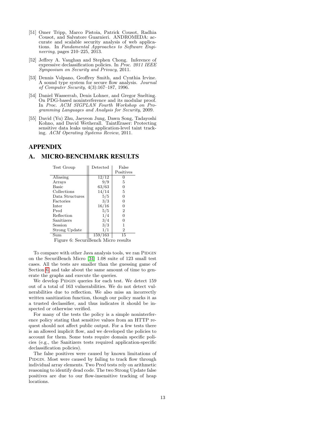- <span id="page-13-0"></span>[51] Omer Tripp, Marco Pistoia, Patrick Cousot, Radhia Cousot, and Salvatore Guarnieri. ANDROMEDA: accurate and scalable security analysis of web applications. In Fundamental Approaches to Software Engi*neering*, pages  $210-225$ ,  $2013$ .
- <span id="page-13-5"></span>[52] Jeffrey A. Vaughan and Stephen Chong. Inference of expressive declassification policies. In Proc. 2011 IEEE Symposium on Security and Privacy, 2011.
- <span id="page-13-1"></span>[53] Dennis Volpano, Geoffrey Smith, and Cynthia Irvine. A sound type system for secure flow analysis. Journal of Computer Security, 4(3):167–187, 1996.
- <span id="page-13-3"></span>[54] Daniel Wasserrab, Denis Lohner, and Gregor Snelting. On PDG-based noninterference and its modular proof. In Proc. ACM SIGPLAN Fourth Workshop on Programming Languages and Analysis for Security, 2009.
- <span id="page-13-2"></span>[55] David (Yu) Zhu, Jaeyeon Jung, Dawn Song, Tadayoshi Kohno, and David Wetherall. TaintEraser: Protecting sensitive data leaks using application-level taint tracking. ACM Operating Systems Review, 2011.

# APPENDIX

#### <span id="page-13-4"></span>A. MICRO-BENCHMARK RESULTS

| Test Group      | Detected             | False     |
|-----------------|----------------------|-----------|
|                 |                      | Positives |
| Aliasing        | 12/12                |           |
| Arrays          | 9/9                  | 5         |
| <b>Basic</b>    | 63/63                |           |
| Collections     | 14/14                | 5         |
| Data Structures | 5/5                  |           |
| Factories       | 3/3                  |           |
| Inter           | 16/16                |           |
| Pred            | 5/5                  | 2         |
| Reflection      | 1/4                  |           |
| Sanitizers      | 3/4                  |           |
| Session         | 3/3                  |           |
| Strong Update   | 1/1                  | 2         |
| Sum             | $^\prime163$<br>159/ | 15        |

Figure 6: SecuriBench Micro results

To compare with other Java analysis tools, we ran PIDGIN on the SecuriBench Micro [\[34\]](#page-12-10) 1.08 suite of 123 small test cases. All the tests are smaller than the guessing game of Section [6,](#page-8-0) and take about the same amount of time to generate the graphs and execute the queries.

We develop PIDGIN queries for each test. We detect 159 out of a total of 163 vulnerabilities. We do not detect vulnerabilities due to reflection. We also miss an incorrectly written sanitization function, though our policy marks it as a trusted declassifier, and thus indicates it should be inspected or otherwise verified.

For many of the tests the policy is a simple noninterference policy stating that sensitive values from an HTTP request should not affect public output. For a few tests there is an allowed implicit flow, and we developed the policies to account for them. Some tests require domain specific policies (e.g., the Sanitizers tests required application-specific declassification policies).

The false positives were caused by known limitations of PIDGIN. Most were caused by failing to track flow through individual array elements. Two Pred tests rely on arithmetic reasoning to identify dead code. The two Strong Update false positives are due to our flow-insensitive tracking of heap locations.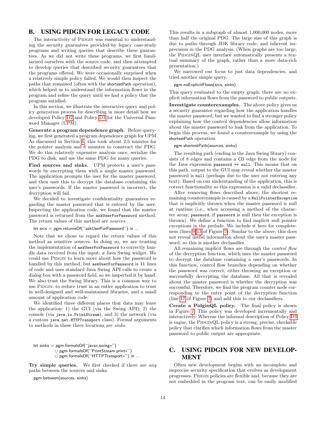# B. USING PIDGIN FOR LEGACY CODE

The interactivity of PIDGIN was essential to understanding the security guarantees provided by legacy case-study programs and writing queries that describe these guarantees. As we did not write these programs, we first familiarized ourselves with the source code, and then attempted to develop queries that described security guarantees that the programs offered. We were occasionally surprised when a relatively simple policy failed. We would then inspect the paths that remained (often with the shortestPath operation), which helped us to understand the information flows in the program and refine the query until we had a policy that the program satisfied.

In this section, we illustrate the interactive query and policy generation process by describing in more detail how we developed Policy [D2](#page-9-1) and Policy [D3](#page-9-2) for the Universal Password Manager (UPM).

Generate a program dependence graph. Before querying, we first generated a program dependence graph for UPM. As discussed in Section [6,](#page-8-0) this took about 2.5 minutes for the pointer analysis and 6 minutes to construct the PDG. We do this relatively expensive analysis once, serialize the PDG to disk, and use the same PDG for many queries.

Find sources and sinks. UPM protects a user's passwords by encrypting them with a single master password. The application prompts the user for the master password, and then uses this to decrypt the database containing the user's passwords. If the master password is incorrect, the decryption will fail.

We decided to investigate confidentiality guarantees regarding the master password that is entered by the user. Inspecting the application code, we found that the master password is returned from the askUserForPassword method. The return values of this method are *sources*.

let srcs = pgm.returnsOf(''askUserForPassword'') in ...

Note that we chose to regard the return values of this method as sensitive sources. In doing so, we are trusting the implementation of askUserForPassword to correctly handle data received from the input: a Java Swing widget. We could use PIDGIN to learn more about how the password is handled by this method, but askUserForPassword is 11 lines of code and uses standard Java Swing API calls to create a dialog box with a password field, so we inspected it by hand. We also trust the Swing library. This is a common way to use PIDGIN: to reduce trust in an entire application to trust in well-designed and well-maintained libraries, and a small amount of application code.

We identified three different places that data may leave the application: 1) the GUI (via the Swing API); 2) the console (via java.io.PrintStream); and 3) the network (via a custom java.net.HTTPTransport class). Formal arguments to methods in these three locations are sinks.

```
let sinks = pgm.formalsOf(''javax.swing∗'')
          ∪ pgm.formalsOf(''PrintStream.print∗'')
          ∪ pgm.formalsOf(''HTTPTransport∗'') in ...
```
Try simple queries. We first checked if there are any paths between the sources and sinks.

pgm.between(sources, sinks)

This results in a subgraph of almost 1,000,000 nodes, more than half the original PDG. The large size of this graph is due to paths through JDK library code, and inherent imprecision in the PDG analysis. (When graphs are too large, the PIDGINQL user interface automatically presents a textual summary of the graph, rather than a more data-rich presentation.)

We narrowed our focus to just data dependencies, and tried another simple query.

pgm.noExplicitFlows(srcs, sinks)

This query evaluated to the empty graph: there are no explicit information flows from the password to public outputs.

Investigate counterexamples. The above policy gives us a security guarantee regarding how the application handles the master password, but we wanted to find a stronger policy explaining how the control dependencies allow information about the master password to leak from the application. To begin this process, we found a counterexample by using the shortestPath operation.

#### pgm.shortestPath(sources, sinks)

The resulting path (ending in the Java Swing library) consists of 8 edges and contains a CD edge from the node for the Java expression password == null. This means that on this path, output to the GUI may reveal whether the master password is null (perhaps due to the user not entering any text). Based on our understanding of the application, this is correct functionality so this expression is a valid declassifier.

After removing flows described above, the shortest remaining counterexample is caused by a NullPointerException that is implicitly thrown when the master password is null at runtime (i.e., when accessing a method of the character array, password, if password is null then the exception is thrown). We define a function to find implicit null pointer exceptions in the prelude. We include it here for completeness (lines [9](#page-15-0)[-13](#page-15-1) of Figure [7\)](#page-15-2). Similar to the above, this does not reveal useful information about the user's master password, so this is another declassifier.

All remaining implicit flows are through the *control flow* of the decryption function, which uses the master password to decrypt the database containing a user's passwords. In this function, control flow branches depending on whether the password was correct, either throwing an exception or successfully decrypting the database. All that is revealed about the master password is whether the decryption was successful. Therefore, we find the program counter node corresponding to the entry point of the decryption function (line [17](#page-15-3) of Figure [7\)](#page-15-2) and add this to our declassifiers.

Create a PidginQL policy. The final policy is shown in Figure [7.](#page-15-2) This policy was developed incrementally and interactively. Whereas the informal description of Policy [D3](#page-9-2) is vague, the PIDGINQL policy is a strong, precise, checkable policy that clarifies which information flows from the master password to public output are appropriate.

# C. USING PIDGIN FOR NEW DEVELOP-**MENT**

Often new development begins with an incomplete and imprecise security specification that evolves as development progresses. PIDGIN policies are flexible and, because they are not embedded in the program text, can be easily modified